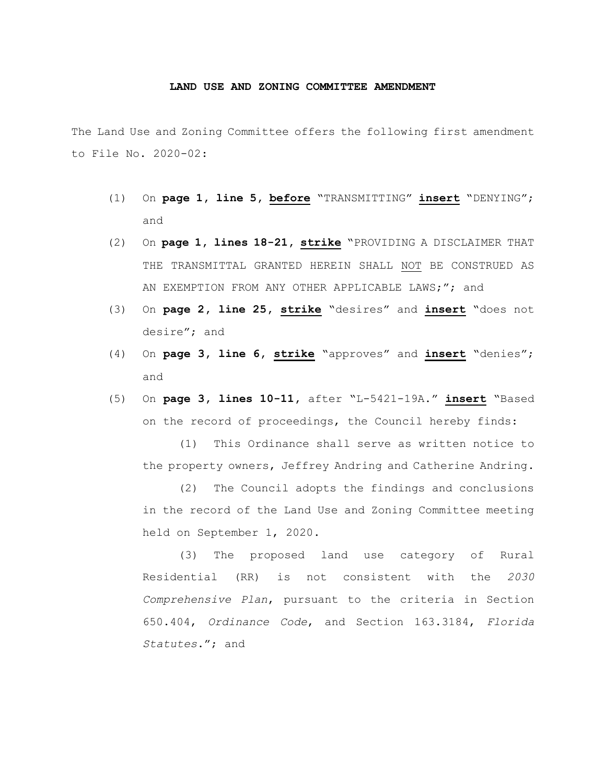## **LAND USE AND ZONING COMMITTEE AMENDMENT**

The Land Use and Zoning Committee offers the following first amendment to File No. 2020-02:

- (1) On **page 1, line 5, before** "TRANSMITTING" **insert** "DENYING"; and
- (2) On **page 1, lines 18-21, strike** "PROVIDING A DISCLAIMER THAT THE TRANSMITTAL GRANTED HEREIN SHALL NOT BE CONSTRUED AS AN EXEMPTION FROM ANY OTHER APPLICABLE LAWS;"; and
- (3) On **page 2, line 25, strike** "desires" and **insert** "does not desire"; and
- (4) On **page 3, line 6, strike** "approves" and **insert** "denies"; and
- (5) On **page 3, lines 10-11,** after "L-5421-19A." **insert** "Based on the record of proceedings, the Council hereby finds:

(1) This Ordinance shall serve as written notice to the property owners, Jeffrey Andring and Catherine Andring.

(2) The Council adopts the findings and conclusions in the record of the Land Use and Zoning Committee meeting held on September 1, 2020.

(3) The proposed land use category of Rural Residential (RR) is not consistent with the *2030 Comprehensive Plan*, pursuant to the criteria in Section 650.404, *Ordinance Code*, and Section 163.3184, *Florida Statutes*."; and